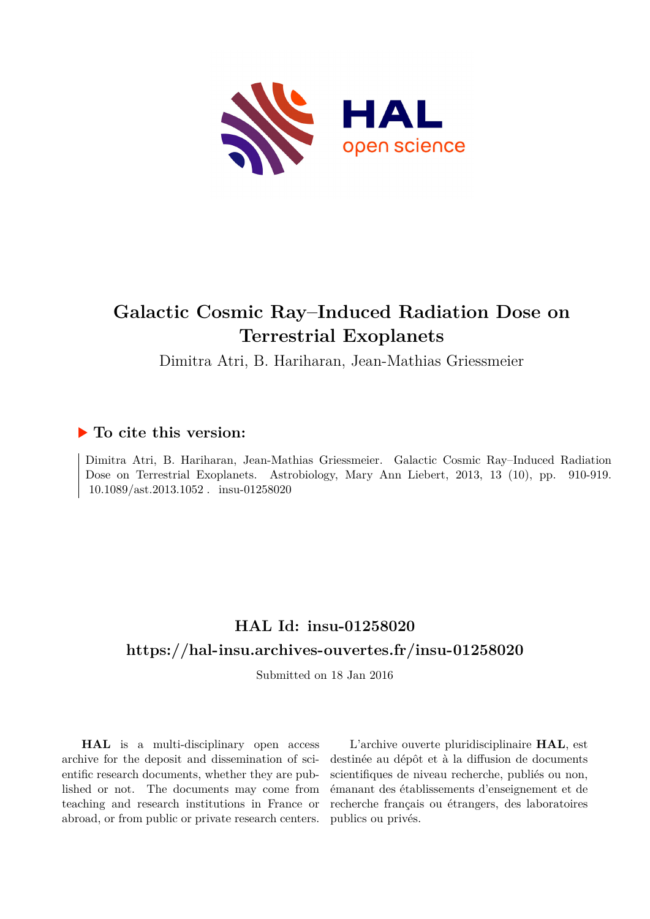

# **Galactic Cosmic Ray–Induced Radiation Dose on Terrestrial Exoplanets**

Dimitra Atri, B. Hariharan, Jean-Mathias Griessmeier

## **To cite this version:**

Dimitra Atri, B. Hariharan, Jean-Mathias Griessmeier. Galactic Cosmic Ray–Induced Radiation Dose on Terrestrial Exoplanets. Astrobiology, Mary Ann Liebert, 2013, 13 (10), pp. 910-919.  $10.1089/ast.2013.1052$ . insu-01258020

## **HAL Id: insu-01258020 <https://hal-insu.archives-ouvertes.fr/insu-01258020>**

Submitted on 18 Jan 2016

**HAL** is a multi-disciplinary open access archive for the deposit and dissemination of scientific research documents, whether they are published or not. The documents may come from teaching and research institutions in France or abroad, or from public or private research centers.

L'archive ouverte pluridisciplinaire **HAL**, est destinée au dépôt et à la diffusion de documents scientifiques de niveau recherche, publiés ou non, émanant des établissements d'enseignement et de recherche français ou étrangers, des laboratoires publics ou privés.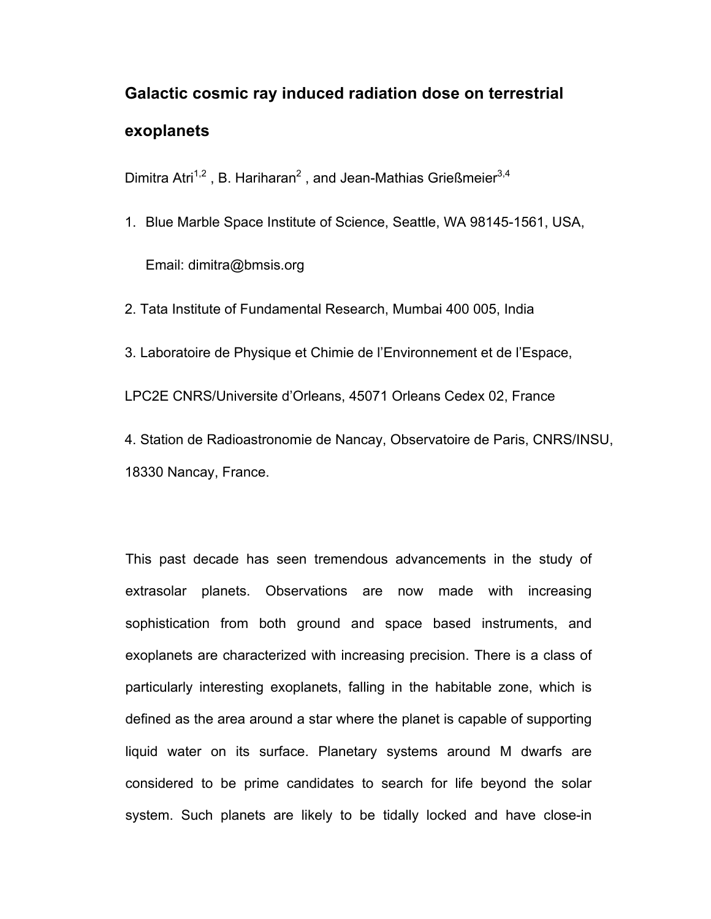# **Galactic cosmic ray induced radiation dose on terrestrial exoplanets**

Dimitra Atri<sup>1,2</sup>, B. Hariharan<sup>2</sup>, and Jean-Mathias Grießmeier<sup>3,4</sup>

1. Blue Marble Space Institute of Science, Seattle, WA 98145-1561, USA,

Email: dimitra@bmsis.org

2. Tata Institute of Fundamental Research, Mumbai 400 005, India

3. Laboratoire de Physique et Chimie de l'Environnement et de l'Espace,

LPC2E CNRS/Universite d'Orleans, 45071 Orleans Cedex 02, France

4. Station de Radioastronomie de Nancay, Observatoire de Paris, CNRS/INSU, 18330 Nancay, France.

This past decade has seen tremendous advancements in the study of extrasolar planets. Observations are now made with increasing sophistication from both ground and space based instruments, and exoplanets are characterized with increasing precision. There is a class of particularly interesting exoplanets, falling in the habitable zone, which is defined as the area around a star where the planet is capable of supporting liquid water on its surface. Planetary systems around M dwarfs are considered to be prime candidates to search for life beyond the solar system. Such planets are likely to be tidally locked and have close-in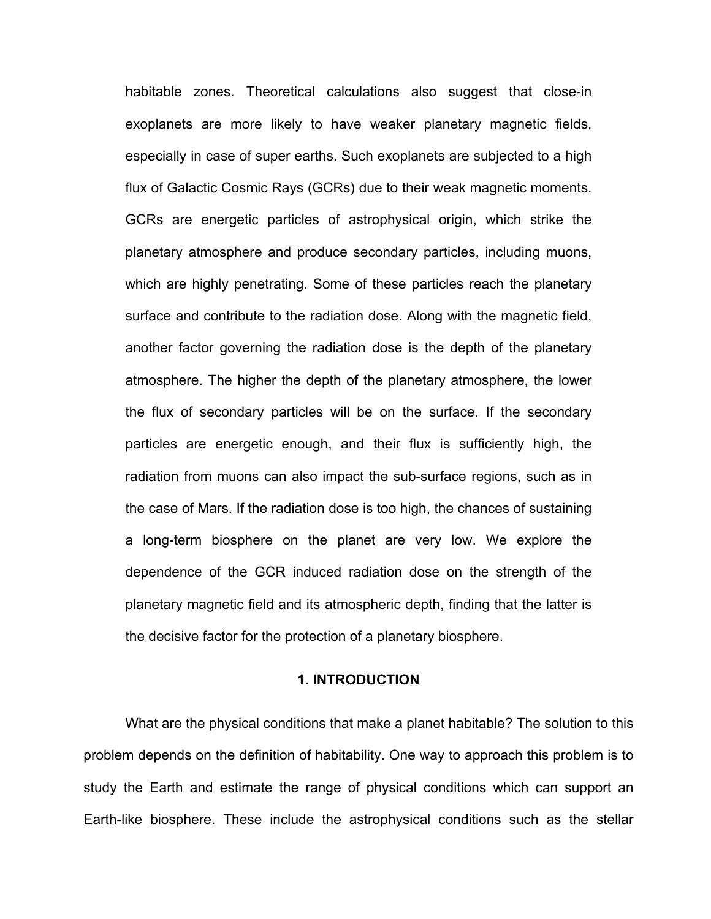habitable zones. Theoretical calculations also suggest that close-in exoplanets are more likely to have weaker planetary magnetic fields, especially in case of super earths. Such exoplanets are subjected to a high flux of Galactic Cosmic Rays (GCRs) due to their weak magnetic moments. GCRs are energetic particles of astrophysical origin, which strike the planetary atmosphere and produce secondary particles, including muons, which are highly penetrating. Some of these particles reach the planetary surface and contribute to the radiation dose. Along with the magnetic field, another factor governing the radiation dose is the depth of the planetary atmosphere. The higher the depth of the planetary atmosphere, the lower the flux of secondary particles will be on the surface. If the secondary particles are energetic enough, and their flux is sufficiently high, the radiation from muons can also impact the sub-surface regions, such as in the case of Mars. If the radiation dose is too high, the chances of sustaining a long-term biosphere on the planet are very low. We explore the dependence of the GCR induced radiation dose on the strength of the planetary magnetic field and its atmospheric depth, finding that the latter is the decisive factor for the protection of a planetary biosphere.

#### **1. INTRODUCTION**

What are the physical conditions that make a planet habitable? The solution to this problem depends on the definition of habitability. One way to approach this problem is to study the Earth and estimate the range of physical conditions which can support an Earth-like biosphere. These include the astrophysical conditions such as the stellar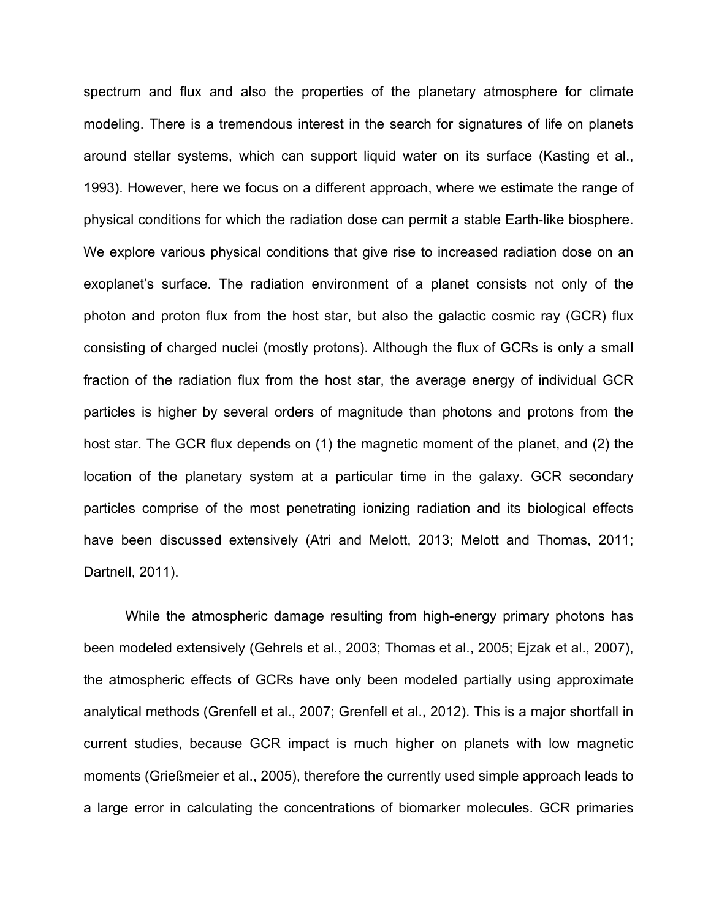spectrum and flux and also the properties of the planetary atmosphere for climate modeling. There is a tremendous interest in the search for signatures of life on planets around stellar systems, which can support liquid water on its surface (Kasting et al., 1993). However, here we focus on a different approach, where we estimate the range of physical conditions for which the radiation dose can permit a stable Earth-like biosphere. We explore various physical conditions that give rise to increased radiation dose on an exoplanet's surface. The radiation environment of a planet consists not only of the photon and proton flux from the host star, but also the galactic cosmic ray (GCR) flux consisting of charged nuclei (mostly protons). Although the flux of GCRs is only a small fraction of the radiation flux from the host star, the average energy of individual GCR particles is higher by several orders of magnitude than photons and protons from the host star. The GCR flux depends on (1) the magnetic moment of the planet, and (2) the location of the planetary system at a particular time in the galaxy. GCR secondary particles comprise of the most penetrating ionizing radiation and its biological effects have been discussed extensively (Atri and Melott, 2013; Melott and Thomas, 2011; Dartnell, 2011).

While the atmospheric damage resulting from high-energy primary photons has been modeled extensively (Gehrels et al., 2003; Thomas et al., 2005; Ejzak et al., 2007), the atmospheric effects of GCRs have only been modeled partially using approximate analytical methods (Grenfell et al., 2007; Grenfell et al., 2012). This is a major shortfall in current studies, because GCR impact is much higher on planets with low magnetic moments (Grießmeier et al., 2005), therefore the currently used simple approach leads to a large error in calculating the concentrations of biomarker molecules. GCR primaries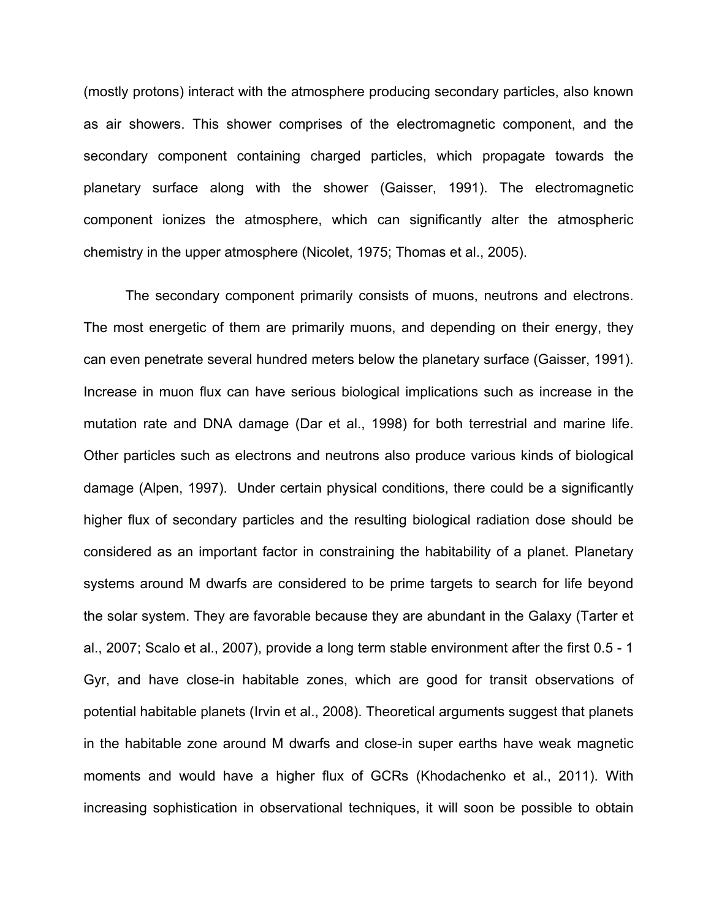(mostly protons) interact with the atmosphere producing secondary particles, also known as air showers. This shower comprises of the electromagnetic component, and the secondary component containing charged particles, which propagate towards the planetary surface along with the shower (Gaisser, 1991). The electromagnetic component ionizes the atmosphere, which can significantly alter the atmospheric chemistry in the upper atmosphere (Nicolet, 1975; Thomas et al., 2005).

The secondary component primarily consists of muons, neutrons and electrons. The most energetic of them are primarily muons, and depending on their energy, they can even penetrate several hundred meters below the planetary surface (Gaisser, 1991). Increase in muon flux can have serious biological implications such as increase in the mutation rate and DNA damage (Dar et al., 1998) for both terrestrial and marine life. Other particles such as electrons and neutrons also produce various kinds of biological damage (Alpen, 1997). Under certain physical conditions, there could be a significantly higher flux of secondary particles and the resulting biological radiation dose should be considered as an important factor in constraining the habitability of a planet. Planetary systems around M dwarfs are considered to be prime targets to search for life beyond the solar system. They are favorable because they are abundant in the Galaxy (Tarter et al., 2007; Scalo et al., 2007), provide a long term stable environment after the first 0.5 - 1 Gyr, and have close-in habitable zones, which are good for transit observations of potential habitable planets (Irvin et al., 2008). Theoretical arguments suggest that planets in the habitable zone around M dwarfs and close-in super earths have weak magnetic moments and would have a higher flux of GCRs (Khodachenko et al., 2011). With increasing sophistication in observational techniques, it will soon be possible to obtain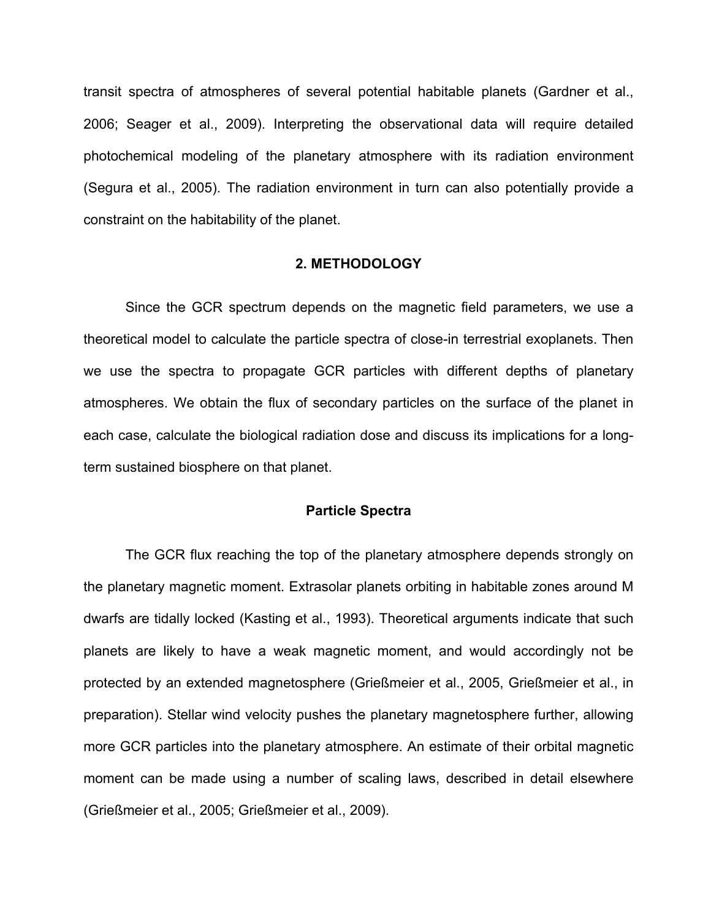transit spectra of atmospheres of several potential habitable planets (Gardner et al., 2006; Seager et al., 2009). Interpreting the observational data will require detailed photochemical modeling of the planetary atmosphere with its radiation environment (Segura et al., 2005). The radiation environment in turn can also potentially provide a constraint on the habitability of the planet.

#### **2. METHODOLOGY**

Since the GCR spectrum depends on the magnetic field parameters, we use a theoretical model to calculate the particle spectra of close-in terrestrial exoplanets. Then we use the spectra to propagate GCR particles with different depths of planetary atmospheres. We obtain the flux of secondary particles on the surface of the planet in each case, calculate the biological radiation dose and discuss its implications for a longterm sustained biosphere on that planet.

#### **Particle Spectra**

The GCR flux reaching the top of the planetary atmosphere depends strongly on the planetary magnetic moment. Extrasolar planets orbiting in habitable zones around M dwarfs are tidally locked (Kasting et al., 1993). Theoretical arguments indicate that such planets are likely to have a weak magnetic moment, and would accordingly not be protected by an extended magnetosphere (Grießmeier et al., 2005, Grießmeier et al., in preparation). Stellar wind velocity pushes the planetary magnetosphere further, allowing more GCR particles into the planetary atmosphere. An estimate of their orbital magnetic moment can be made using a number of scaling laws, described in detail elsewhere (Grießmeier et al., 2005; Grießmeier et al., 2009).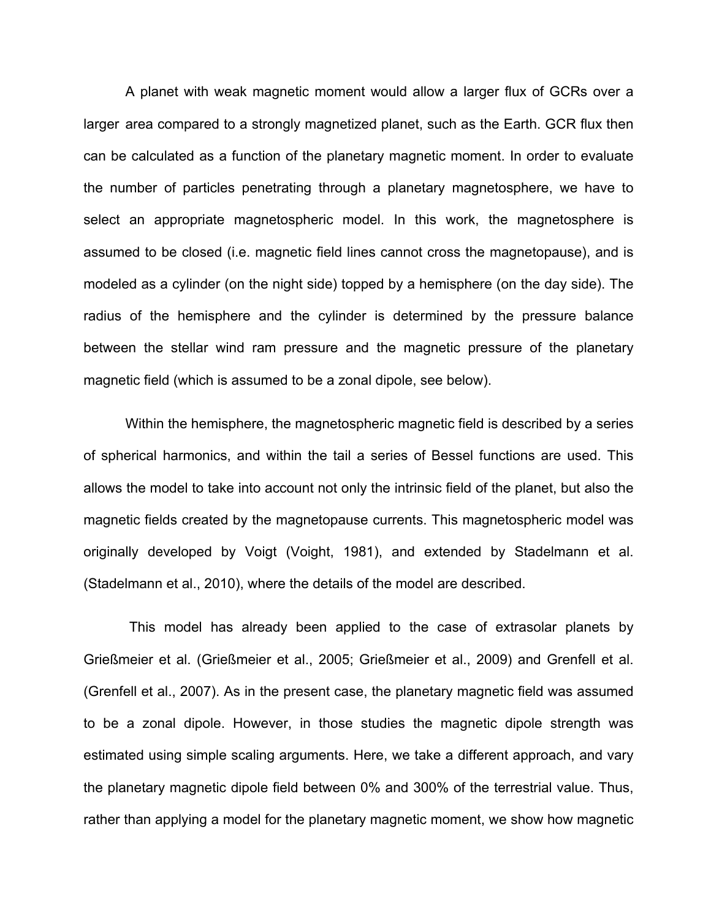A planet with weak magnetic moment would allow a larger flux of GCRs over a larger area compared to a strongly magnetized planet, such as the Earth. GCR flux then can be calculated as a function of the planetary magnetic moment. In order to evaluate the number of particles penetrating through a planetary magnetosphere, we have to select an appropriate magnetospheric model. In this work, the magnetosphere is assumed to be closed (i.e. magnetic field lines cannot cross the magnetopause), and is modeled as a cylinder (on the night side) topped by a hemisphere (on the day side). The radius of the hemisphere and the cylinder is determined by the pressure balance between the stellar wind ram pressure and the magnetic pressure of the planetary magnetic field (which is assumed to be a zonal dipole, see below).

Within the hemisphere, the magnetospheric magnetic field is described by a series of spherical harmonics, and within the tail a series of Bessel functions are used. This allows the model to take into account not only the intrinsic field of the planet, but also the magnetic fields created by the magnetopause currents. This magnetospheric model was originally developed by Voigt (Voight, 1981), and extended by Stadelmann et al. (Stadelmann et al., 2010), where the details of the model are described.

This model has already been applied to the case of extrasolar planets by Grießmeier et al. (Grießmeier et al., 2005; Grießmeier et al., 2009) and Grenfell et al. (Grenfell et al., 2007). As in the present case, the planetary magnetic field was assumed to be a zonal dipole. However, in those studies the magnetic dipole strength was estimated using simple scaling arguments. Here, we take a different approach, and vary the planetary magnetic dipole field between 0% and 300% of the terrestrial value. Thus, rather than applying a model for the planetary magnetic moment, we show how magnetic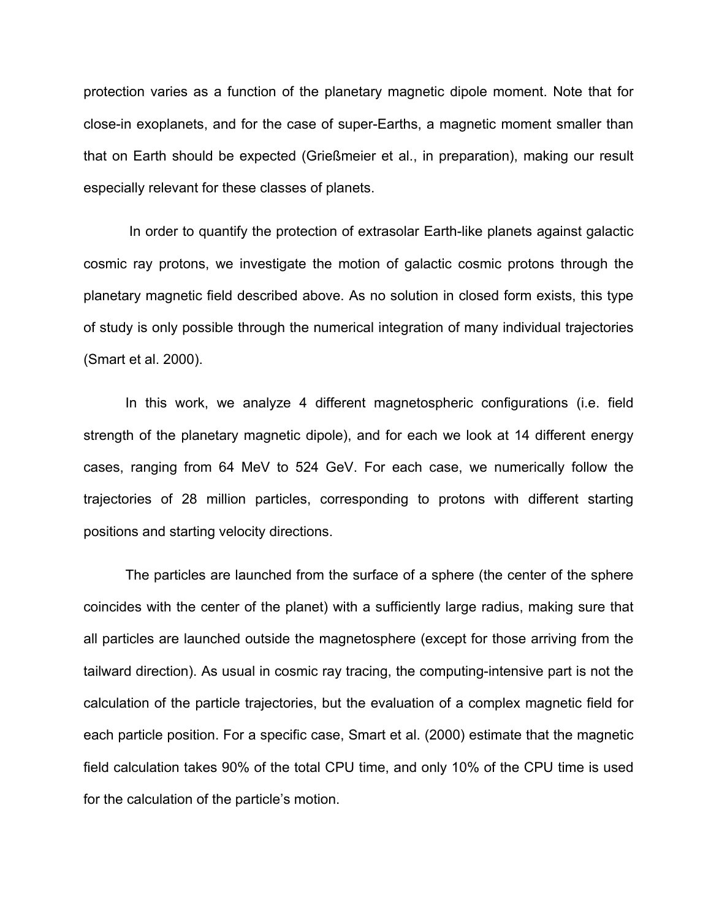protection varies as a function of the planetary magnetic dipole moment. Note that for close-in exoplanets, and for the case of super-Earths, a magnetic moment smaller than that on Earth should be expected (Grießmeier et al., in preparation), making our result especially relevant for these classes of planets.

In order to quantify the protection of extrasolar Earth-like planets against galactic cosmic ray protons, we investigate the motion of galactic cosmic protons through the planetary magnetic field described above. As no solution in closed form exists, this type of study is only possible through the numerical integration of many individual trajectories (Smart et al. 2000).

In this work, we analyze 4 different magnetospheric configurations (i.e. field strength of the planetary magnetic dipole), and for each we look at 14 different energy cases, ranging from 64 MeV to 524 GeV. For each case, we numerically follow the trajectories of 28 million particles, corresponding to protons with different starting positions and starting velocity directions.

The particles are launched from the surface of a sphere (the center of the sphere coincides with the center of the planet) with a sufficiently large radius, making sure that all particles are launched outside the magnetosphere (except for those arriving from the tailward direction). As usual in cosmic ray tracing, the computing-intensive part is not the calculation of the particle trajectories, but the evaluation of a complex magnetic field for each particle position. For a specific case, Smart et al. (2000) estimate that the magnetic field calculation takes 90% of the total CPU time, and only 10% of the CPU time is used for the calculation of the particle's motion.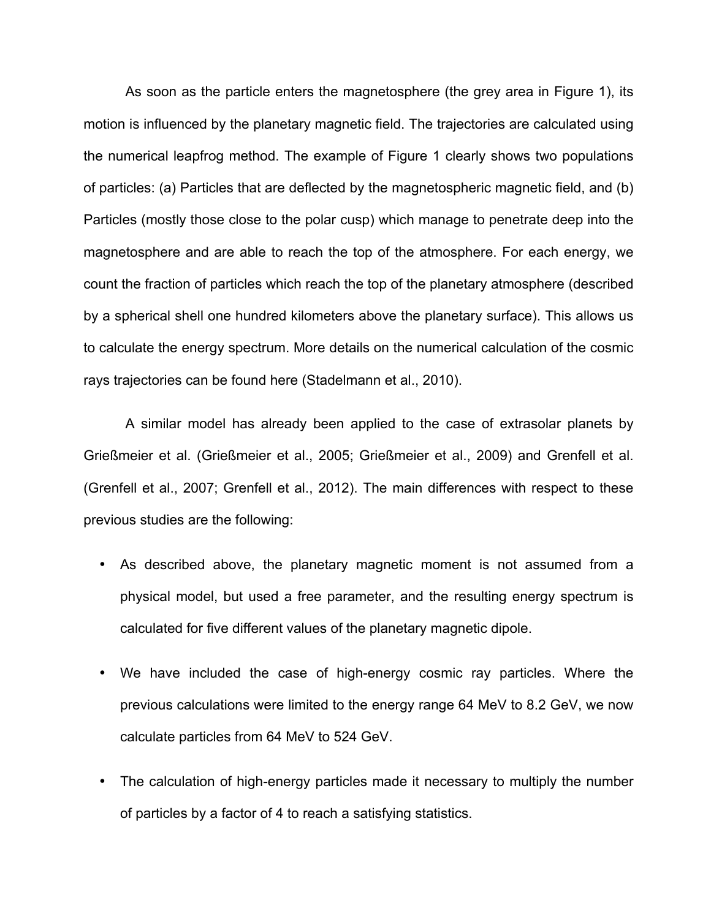As soon as the particle enters the magnetosphere (the grey area in Figure 1), its motion is influenced by the planetary magnetic field. The trajectories are calculated using the numerical leapfrog method. The example of Figure 1 clearly shows two populations of particles: (a) Particles that are deflected by the magnetospheric magnetic field, and (b) Particles (mostly those close to the polar cusp) which manage to penetrate deep into the magnetosphere and are able to reach the top of the atmosphere. For each energy, we count the fraction of particles which reach the top of the planetary atmosphere (described by a spherical shell one hundred kilometers above the planetary surface). This allows us to calculate the energy spectrum. More details on the numerical calculation of the cosmic rays trajectories can be found here (Stadelmann et al., 2010).

A similar model has already been applied to the case of extrasolar planets by Grießmeier et al. (Grießmeier et al., 2005; Grießmeier et al., 2009) and Grenfell et al. (Grenfell et al., 2007; Grenfell et al., 2012). The main differences with respect to these previous studies are the following:

- As described above, the planetary magnetic moment is not assumed from a physical model, but used a free parameter, and the resulting energy spectrum is calculated for five different values of the planetary magnetic dipole.
- We have included the case of high-energy cosmic ray particles. Where the previous calculations were limited to the energy range 64 MeV to 8.2 GeV, we now calculate particles from 64 MeV to 524 GeV.
- The calculation of high-energy particles made it necessary to multiply the number of particles by a factor of 4 to reach a satisfying statistics.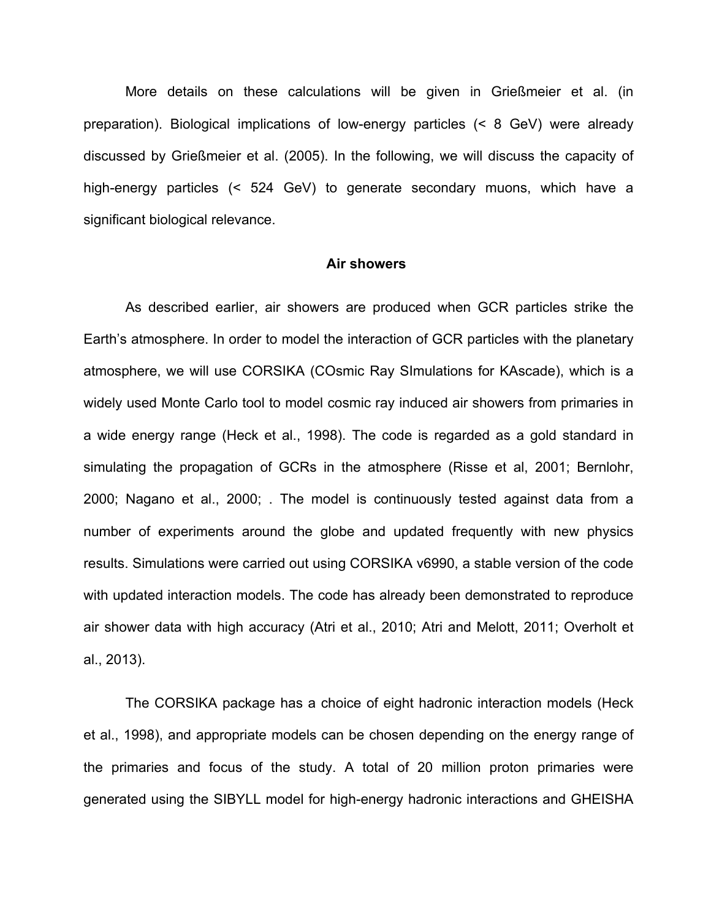More details on these calculations will be given in Grießmeier et al. (in preparation). Biological implications of low-energy particles (< 8 GeV) were already discussed by Grießmeier et al. (2005). In the following, we will discuss the capacity of high-energy particles (< 524 GeV) to generate secondary muons, which have a significant biological relevance.

#### **Air showers**

As described earlier, air showers are produced when GCR particles strike the Earth's atmosphere. In order to model the interaction of GCR particles with the planetary atmosphere, we will use CORSIKA (COsmic Ray SImulations for KAscade), which is a widely used Monte Carlo tool to model cosmic ray induced air showers from primaries in a wide energy range (Heck et al., 1998). The code is regarded as a gold standard in simulating the propagation of GCRs in the atmosphere (Risse et al, 2001; Bernlohr, 2000; Nagano et al., 2000; . The model is continuously tested against data from a number of experiments around the globe and updated frequently with new physics results. Simulations were carried out using CORSIKA v6990, a stable version of the code with updated interaction models. The code has already been demonstrated to reproduce air shower data with high accuracy (Atri et al., 2010; Atri and Melott, 2011; Overholt et al., 2013).

The CORSIKA package has a choice of eight hadronic interaction models (Heck et al., 1998), and appropriate models can be chosen depending on the energy range of the primaries and focus of the study. A total of 20 million proton primaries were generated using the SIBYLL model for high-energy hadronic interactions and GHEISHA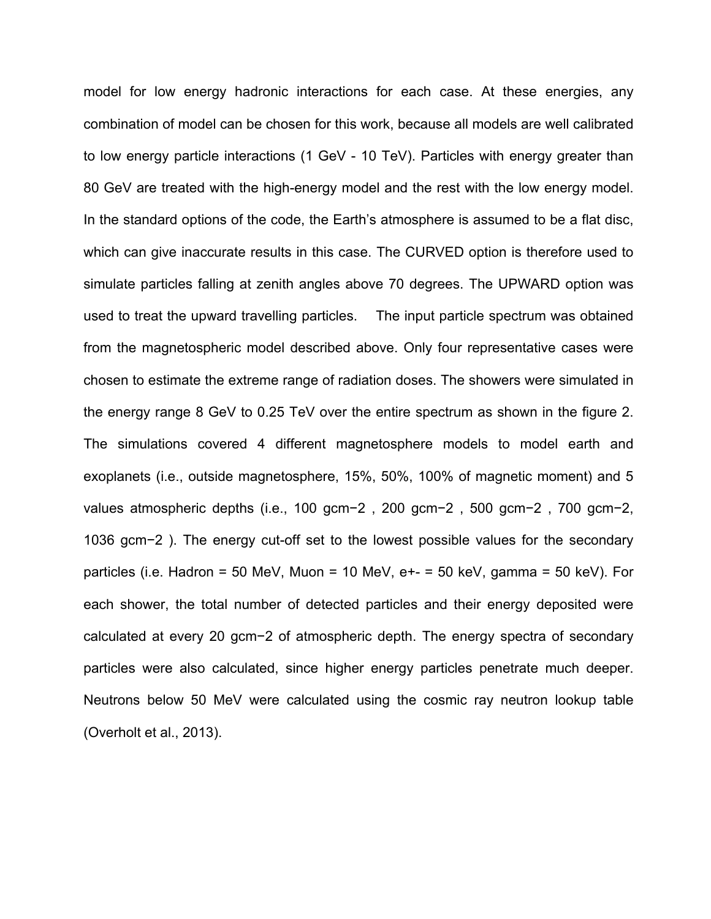model for low energy hadronic interactions for each case. At these energies, any combination of model can be chosen for this work, because all models are well calibrated to low energy particle interactions (1 GeV - 10 TeV). Particles with energy greater than 80 GeV are treated with the high-energy model and the rest with the low energy model. In the standard options of the code, the Earth's atmosphere is assumed to be a flat disc, which can give inaccurate results in this case. The CURVED option is therefore used to simulate particles falling at zenith angles above 70 degrees. The UPWARD option was used to treat the upward travelling particles. The input particle spectrum was obtained from the magnetospheric model described above. Only four representative cases were chosen to estimate the extreme range of radiation doses. The showers were simulated in the energy range 8 GeV to 0.25 TeV over the entire spectrum as shown in the figure 2. The simulations covered 4 different magnetosphere models to model earth and exoplanets (i.e., outside magnetosphere, 15%, 50%, 100% of magnetic moment) and 5 values atmospheric depths (i.e., 100 gcm−2 , 200 gcm−2 , 500 gcm−2 , 700 gcm−2, 1036 gcm−2 ). The energy cut-off set to the lowest possible values for the secondary particles (i.e. Hadron = 50 MeV, Muon = 10 MeV, e+- = 50 keV, gamma = 50 keV). For each shower, the total number of detected particles and their energy deposited were calculated at every 20 gcm−2 of atmospheric depth. The energy spectra of secondary particles were also calculated, since higher energy particles penetrate much deeper. Neutrons below 50 MeV were calculated using the cosmic ray neutron lookup table (Overholt et al., 2013).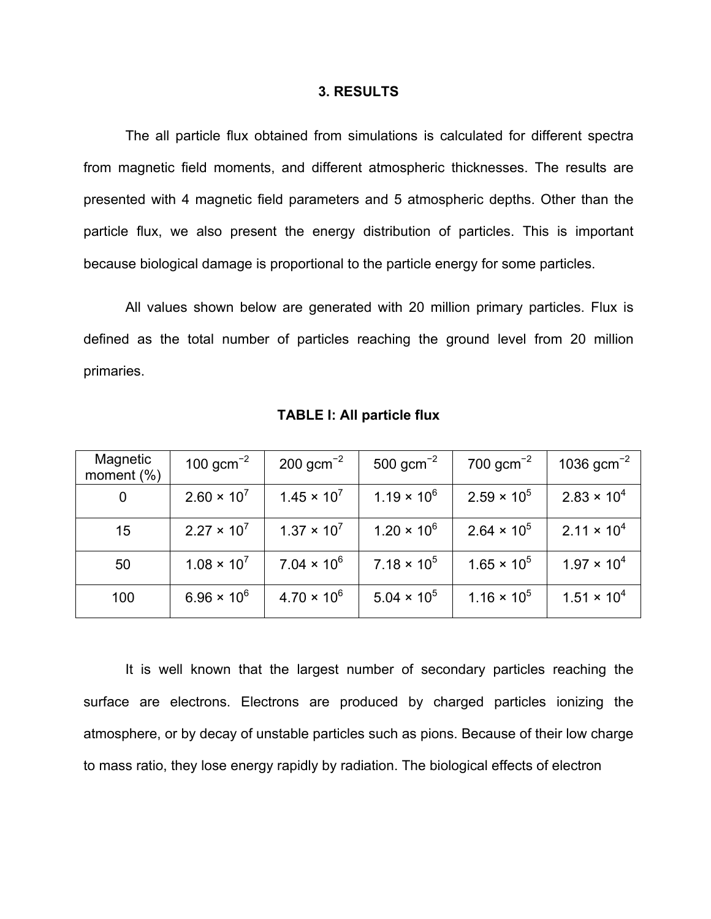#### **3. RESULTS**

The all particle flux obtained from simulations is calculated for different spectra from magnetic field moments, and different atmospheric thicknesses. The results are presented with 4 magnetic field parameters and 5 atmospheric depths. Other than the particle flux, we also present the energy distribution of particles. This is important because biological damage is proportional to the particle energy for some particles.

All values shown below are generated with 20 million primary particles. Flux is defined as the total number of particles reaching the ground level from 20 million primaries.

| Magnetic<br>moment $(\%)$ | 100 $gcm^{-2}$       | $200 \text{ gcm}^{-2}$ | 500 $gcm^{-2}$       | 700 $gcm^{-2}$       | 1036 $gcm^{-2}$      |
|---------------------------|----------------------|------------------------|----------------------|----------------------|----------------------|
| 0                         | $2.60 \times 10^{7}$ | $1.45 \times 10^{7}$   | $1.19 \times 10^{6}$ | $2.59 \times 10^{5}$ | $2.83 \times 10^{4}$ |
| 15                        | $2.27 \times 10^{7}$ | $1.37 \times 10^{7}$   | $1.20 \times 10^{6}$ | $2.64 \times 10^{5}$ | $2.11 \times 10^{4}$ |
| 50                        | $1.08 \times 10^{7}$ | $7.04 \times 10^{6}$   | $7.18 \times 10^5$   | $1.65 \times 10^{5}$ | $1.97 \times 10^{4}$ |
| 100                       | $6.96 \times 10^{6}$ | $4.70 \times 10^{6}$   | $5.04 \times 10^{5}$ | $1.16 \times 10^5$   | $1.51 \times 10^{4}$ |

**TABLE I: All particle flux**

It is well known that the largest number of secondary particles reaching the surface are electrons. Electrons are produced by charged particles ionizing the atmosphere, or by decay of unstable particles such as pions. Because of their low charge to mass ratio, they lose energy rapidly by radiation. The biological effects of electron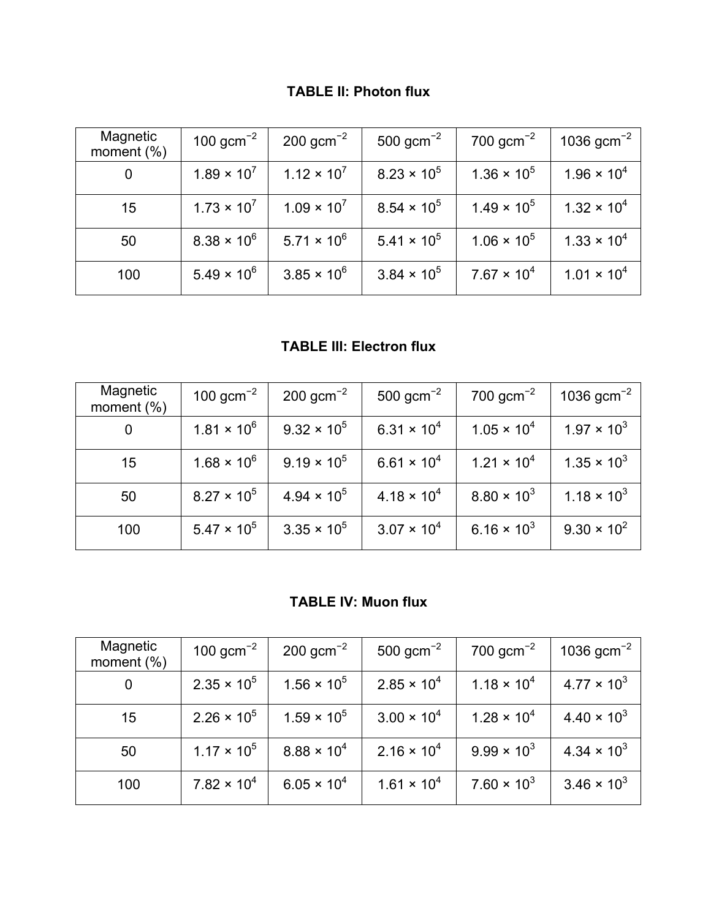## **TABLE II: Photon flux**

| Magnetic<br>moment $(\%)$ | 100 $gcm^{-2}$       | $200 \text{ gcm}^{-2}$ | $500 \text{ gcm}^{-2}$ | 700 $gcm^{-2}$       | 1036 $gcm^{-2}$      |
|---------------------------|----------------------|------------------------|------------------------|----------------------|----------------------|
| 0                         | $1.89 \times 10^{7}$ | $1.12 \times 10^{7}$   | $8.23 \times 10^{5}$   | $1.36 \times 10^{5}$ | $1.96 \times 10^{4}$ |
| 15                        | $1.73 \times 10^{7}$ | $1.09 \times 10^{7}$   | $8.54 \times 10^{5}$   | $1.49 \times 10^{5}$ | $1.32 \times 10^{4}$ |
| 50                        | $8.38 \times 10^{6}$ | $5.71 \times 10^{6}$   | $5.41 \times 10^{5}$   | $1.06 \times 10^{5}$ | $1.33 \times 10^{4}$ |
| 100                       | $5.49 \times 10^{6}$ | $3.85 \times 10^{6}$   | $3.84 \times 10^{5}$   | $7.67 \times 10^{4}$ | $1.01 \times 10^{4}$ |

**TABLE III: Electron flux**

| Magnetic<br>moment $(\%)$ | 100 $gcm^{-2}$       | $200 \text{ gcm}^{-2}$ | 500 gcm <sup><math>-2</math></sup> | 700 $gcm^{-2}$       | 1036 $gcm^{-2}$      |
|---------------------------|----------------------|------------------------|------------------------------------|----------------------|----------------------|
| 0                         | $1.81 \times 10^{6}$ | $9.32 \times 10^{5}$   | $6.31 \times 10^{4}$               | $1.05 \times 10^{4}$ | $1.97 \times 10^{3}$ |
| 15                        | $1.68 \times 10^{6}$ | $9.19 \times 10^{5}$   | $6.61 \times 10^{4}$               | $1.21 \times 10^{4}$ | $1.35 \times 10^{3}$ |
| 50                        | $8.27 \times 10^{5}$ | $4.94 \times 10^{5}$   | $4.18 \times 10^{4}$               | $8.80 \times 10^{3}$ | $1.18 \times 10^{3}$ |
| 100                       | $5.47 \times 10^{5}$ | $3.35 \times 10^{5}$   | $3.07 \times 10^{4}$               | $6.16 \times 10^{3}$ | $9.30 \times 10^{2}$ |

## **TABLE IV: Muon flux**

| Magnetic<br>moment $(\%)$ | 100 $gcm^{-2}$       | $200 \text{ gcm}^{-2}$ | 500 $gcm^{-2}$       | 700 $gcm^{-2}$       | 1036 $gcm^{-2}$      |
|---------------------------|----------------------|------------------------|----------------------|----------------------|----------------------|
| 0                         | $2.35 \times 10^{5}$ | $1.56 \times 10^{5}$   | $2.85 \times 10^{4}$ | $1.18 \times 10^{4}$ | $4.77 \times 10^{3}$ |
| 15                        | $2.26 \times 10^{5}$ | $1.59 \times 10^{5}$   | $3.00 \times 10^{4}$ | $1.28 \times 10^{4}$ | $4.40 \times 10^{3}$ |
| 50                        | $1.17 \times 10^{5}$ | $8.88 \times 10^{4}$   | $2.16 \times 10^{4}$ | $9.99 \times 10^{3}$ | $4.34 \times 10^{3}$ |
| 100                       | $7.82 \times 10^{4}$ | $6.05 \times 10^{4}$   | $1.61 \times 10^{4}$ | $7.60 \times 10^{3}$ | $3.46 \times 10^{3}$ |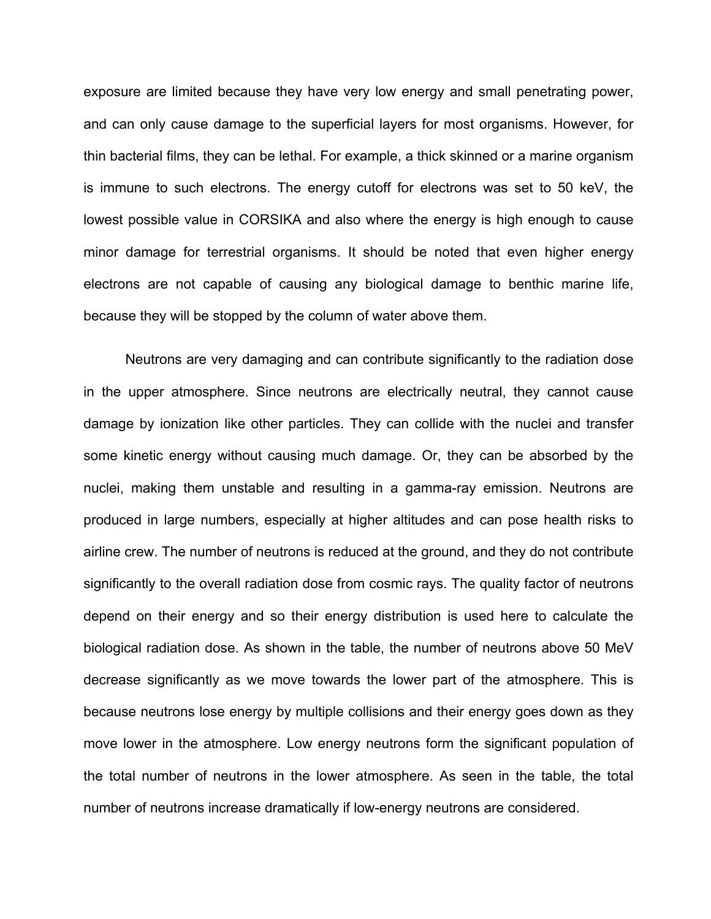exposure are limited because they have very low energy and small penetrating power, and can only cause damage to the superficial layers for most organisms. However, for thin bacterial films, they can be lethal. For example, a thick skinned or a marine organism is immune to such electrons. The energy cutoff for electrons was set to 50 keV, the lowest possible value in CORSIKA and also where the energy is high enough to cause minor damage for terrestrial organisms. It should be noted that even higher energy electrons are not capable of causing any biological damage to benthic marine life, because they will be stopped by the column of water above them.

Neutrons are very damaging and can contribute significantly to the radiation dose in the upper atmosphere. Since neutrons are electrically neutral, they cannot cause damage by ionization like other particles. They can collide with the nuclei and transfer some kinetic energy without causing much damage. Or, they can be absorbed by the nuclei, making them unstable and resulting in a gamma-ray emission. Neutrons are produced in large numbers, especially at higher altitudes and can pose health risks to airline crew. The number of neutrons is reduced at the ground, and they do not contribute significantly to the overall radiation dose from cosmic rays. The quality factor of neutrons depend on their energy and so their energy distribution is used here to calculate the biological radiation dose. As shown in the table, the number of neutrons above 50 MeV decrease significantly as we move towards the lower part of the atmosphere. This is because neutrons lose energy by multiple collisions and their energy goes down as they move lower in the atmosphere. Low energy neutrons form the significant population of the total number of neutrons in the lower atmosphere. As seen in the table, the total number of neutrons increase dramatically if low-energy neutrons are considered.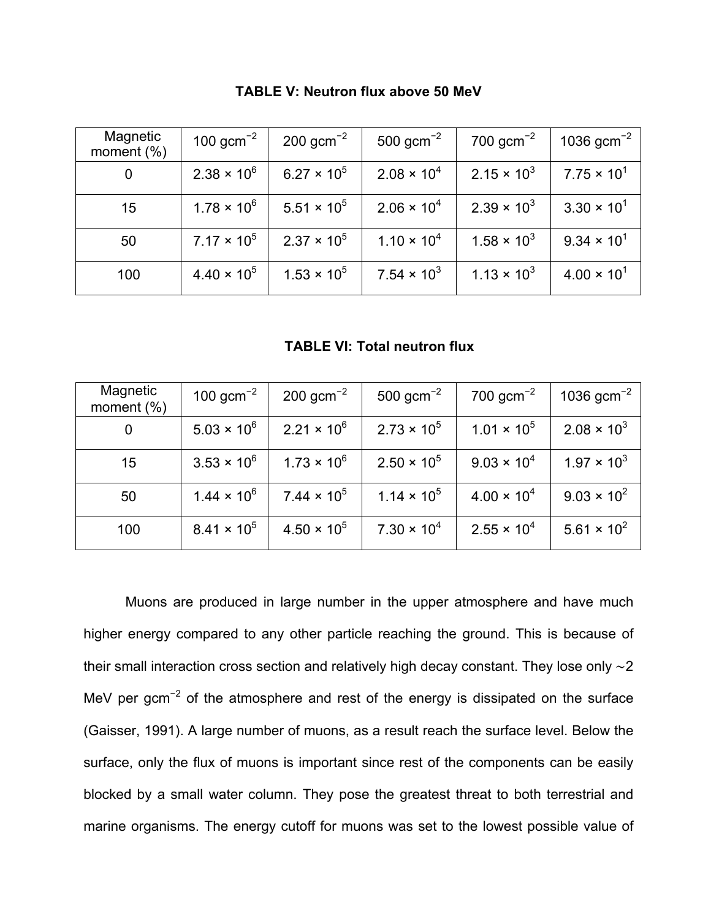| Magnetic<br>moment $(\%)$ | 100 $gcm^{-2}$       | $200 \text{ gcm}^{-2}$ | $500 \text{ gcm}^{-2}$        | 700 $gcm^{-2}$       | 1036 $gcm^{-2}$      |
|---------------------------|----------------------|------------------------|-------------------------------|----------------------|----------------------|
| 0                         | $2.38 \times 10^{6}$ | $6.27 \times 10^{5}$   | $2.08 \times 10^{4}$          | $2.15 \times 10^{3}$ | $7.75 \times 10^{1}$ |
| 15                        | $1.78 \times 10^{6}$ | $5.51 \times 10^{5}$   | $2.06 \times 10^{4}$          | $2.39 \times 10^{3}$ | $3.30 \times 10^{1}$ |
| 50                        | $7.17 \times 10^5$   | $2.37 \times 10^{5}$   | $1.10 \times 10^{4}$          | $1.58 \times 10^{3}$ | $9.34 \times 10^{1}$ |
| 100                       | $4.40 \times 10^{5}$ | $1.53 \times 10^{5}$   | 7.54 $\times$ 10 <sup>3</sup> | $1.13 \times 10^{3}$ | $4.00 \times 10^{1}$ |

**TABLE V: Neutron flux above 50 MeV**

**TABLE VI: Total neutron flux**

| Magnetic<br>moment $(\%)$ | 100 $gcm^{-2}$       | $200 \text{ gcm}^{-2}$ | 500 $gcm^{-2}$       | 700 $gcm^{-2}$       | 1036 $gcm^{-2}$      |
|---------------------------|----------------------|------------------------|----------------------|----------------------|----------------------|
| 0                         | $5.03 \times 10^{6}$ | $2.21 \times 10^{6}$   | $2.73 \times 10^{5}$ | $1.01 \times 10^{5}$ | $2.08 \times 10^{3}$ |
| 15                        | $3.53 \times 10^{6}$ | $1.73 \times 10^{6}$   | $2.50 \times 10^{5}$ | $9.03 \times 10^{4}$ | $1.97 \times 10^{3}$ |
| 50                        | $1.44 \times 10^{6}$ | $7.44 \times 10^{5}$   | $1.14 \times 10^5$   | $4.00 \times 10^{4}$ | $9.03 \times 10^{2}$ |
| 100                       | $8.41 \times 10^{5}$ | $4.50 \times 10^{5}$   | $7.30 \times 10^{4}$ | $2.55 \times 10^{4}$ | $5.61 \times 10^{2}$ |

Muons are produced in large number in the upper atmosphere and have much higher energy compared to any other particle reaching the ground. This is because of their small interaction cross section and relatively high decay constant. They lose only ∼2 MeV per gcm<sup>-2</sup> of the atmosphere and rest of the energy is dissipated on the surface (Gaisser, 1991). A large number of muons, as a result reach the surface level. Below the surface, only the flux of muons is important since rest of the components can be easily blocked by a small water column. They pose the greatest threat to both terrestrial and marine organisms. The energy cutoff for muons was set to the lowest possible value of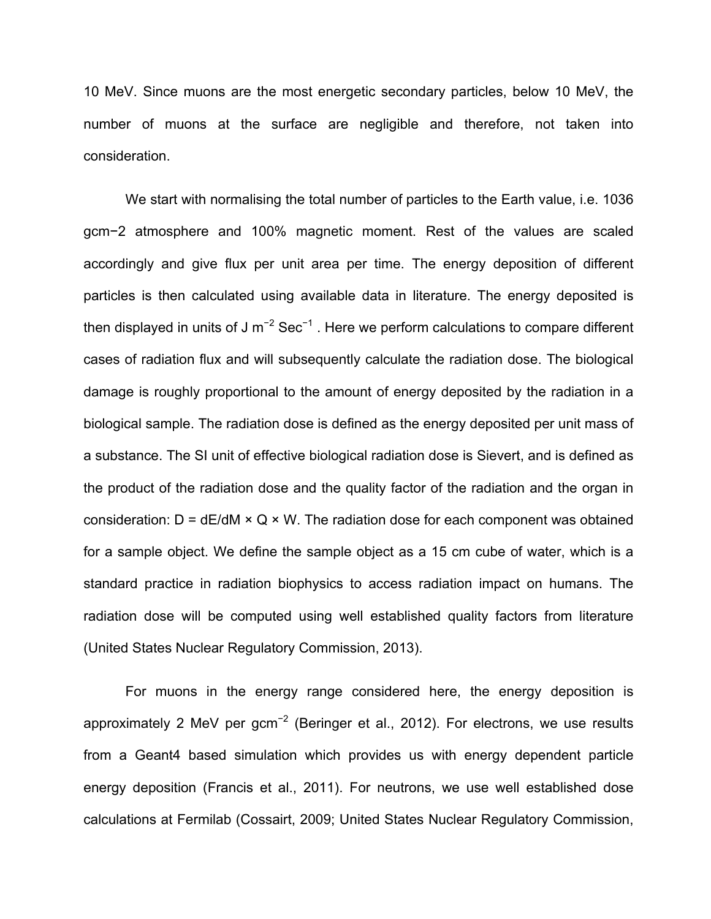10 MeV. Since muons are the most energetic secondary particles, below 10 MeV, the number of muons at the surface are negligible and therefore, not taken into consideration.

We start with normalising the total number of particles to the Earth value, i.e. 1036 gcm−2 atmosphere and 100% magnetic moment. Rest of the values are scaled accordingly and give flux per unit area per time. The energy deposition of different particles is then calculated using available data in literature. The energy deposited is then displayed in units of J m<sup>-2</sup> Sec<sup>-1</sup>. Here we perform calculations to compare different cases of radiation flux and will subsequently calculate the radiation dose. The biological damage is roughly proportional to the amount of energy deposited by the radiation in a biological sample. The radiation dose is defined as the energy deposited per unit mass of a substance. The SI unit of effective biological radiation dose is Sievert, and is defined as the product of the radiation dose and the quality factor of the radiation and the organ in consideration:  $D = dE/dM \times Q \times W$ . The radiation dose for each component was obtained for a sample object. We define the sample object as a 15 cm cube of water, which is a standard practice in radiation biophysics to access radiation impact on humans. The radiation dose will be computed using well established quality factors from literature (United States Nuclear Regulatory Commission, 2013).

For muons in the energy range considered here, the energy deposition is approximately 2 MeV per gcm<sup>-2</sup> (Beringer et al., 2012). For electrons, we use results from a Geant4 based simulation which provides us with energy dependent particle energy deposition (Francis et al., 2011). For neutrons, we use well established dose calculations at Fermilab (Cossairt, 2009; United States Nuclear Regulatory Commission,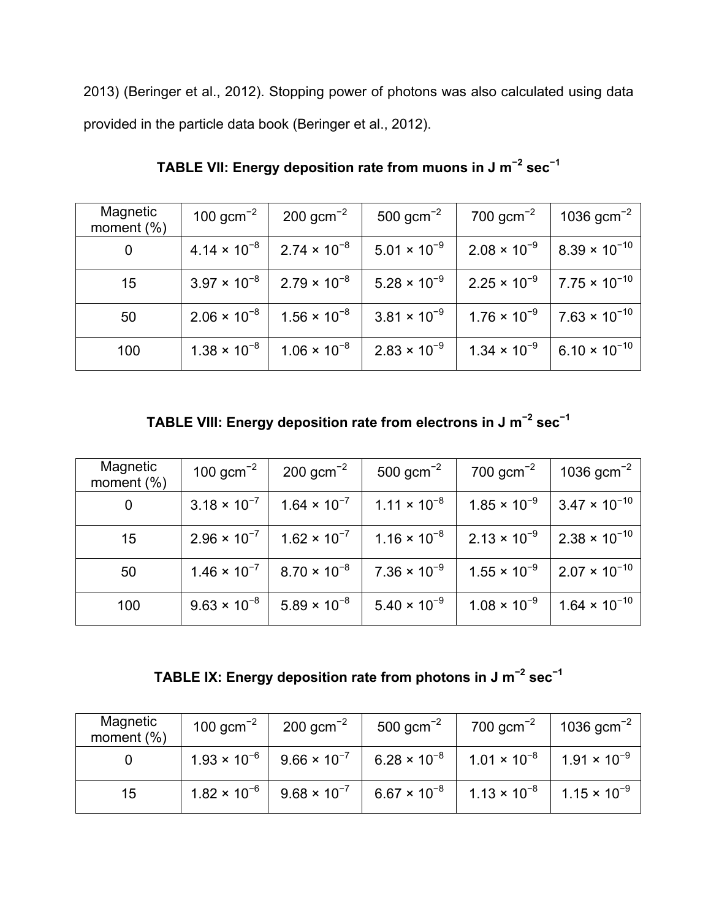2013) (Beringer et al., 2012). Stopping power of photons was also calculated using data provided in the particle data book (Beringer et al., 2012).

| Magnetic<br>moment $(\%)$ | 100 $gcm^{-2}$        | $200 \text{ gcm}^{-2}$                                 | 500 $gcm^{-2}$        | 700 $gcm^{-2}$                                          | 1036 $gcm^{-2}$          |
|---------------------------|-----------------------|--------------------------------------------------------|-----------------------|---------------------------------------------------------|--------------------------|
| $\mathbf 0$               |                       | $4.14 \times 10^{-8}$   2.74 $\times$ 10 <sup>-8</sup> | $5.01 \times 10^{-9}$ | $2.08 \times 10^{-9}$                                   | $  8.39 \times 10^{-10}$ |
| 15                        |                       | $3.97 \times 10^{-8}$   2.79 $\times$ 10 <sup>-8</sup> | $5.28 \times 10^{-9}$ | $2.25 \times 10^{-9}$   7.75 $\times$ 10 <sup>-10</sup> |                          |
| 50                        | $2.06 \times 10^{-8}$ | $1.56 \times 10^{-8}$                                  | $3.81 \times 10^{-9}$ | $1.76 \times 10^{-9}$ 7.63 $\times 10^{-10}$            |                          |
| 100                       | $1.38 \times 10^{-8}$ | $1.06 \times 10^{-8}$                                  | $2.83 \times 10^{-9}$ | $1.34 \times 10^{-9}$                                   | $  6.10 \times 10^{-10}$ |

**TABLE VII: Energy deposition rate from muons in J m<sup>−</sup><sup>2</sup> sec<sup>−</sup><sup>1</sup>**

**TABLE VIII: Energy deposition rate from electrons in J m<sup>−</sup><sup>2</sup> sec<sup>−</sup><sup>1</sup>**

| Magnetic<br>moment $(\%)$ | 100 $gcm^{-2}$        | $200 \text{ gcm}^{-2}$                                 | 500 $gcm^{-2}$           | $700$ gcm <sup>-2</sup>                      | 1036 $gcm^{-2}$                              |
|---------------------------|-----------------------|--------------------------------------------------------|--------------------------|----------------------------------------------|----------------------------------------------|
| 0                         | $3.18 \times 10^{-7}$ | $1.64 \times 10^{-7}$                                  | $1.11 \times 10^{-8}$    | $1.85 \times 10^{-9}$                        | $ 3.47 \times 10^{-10} $                     |
| 15                        |                       | $2.96 \times 10^{-7}$   1.62 $\times$ 10 <sup>-7</sup> | $1.16 \times 10^{-8}$    | $2.13 \times 10^{-9}$ 2.38 $\times 10^{-10}$ |                                              |
| 50                        |                       | $1.46 \times 10^{-7}$   8.70 $\times$ 10 <sup>-8</sup> | 7.36 $\times$ 10 $^{-9}$ |                                              | $1.55 \times 10^{-9}$ 2.07 $\times 10^{-10}$ |
| 100                       | $9.63 \times 10^{-8}$ | $5.89 \times 10^{-8}$                                  | $5.40 \times 10^{-9}$    | $1.08 \times 10^{-9}$                        | $1.64 \times 10^{-10}$                       |

**TABLE IX: Energy deposition rate from photons in J m<sup>−</sup><sup>2</sup> sec<sup>−</sup><sup>1</sup>**

| Magnetic<br>moment $(\%)$ | 100 $gcm^{-2}$ | $200 \text{ gcm}^{-2}$ | 500 $gcm^{-2}$                                                        | $700 \text{ gcm}^{-2}$                                                                                                | $1036 \text{ gcm}^{-2}$ |
|---------------------------|----------------|------------------------|-----------------------------------------------------------------------|-----------------------------------------------------------------------------------------------------------------------|-------------------------|
|                           |                |                        |                                                                       | $1.93 \times 10^{-6}$   $9.66 \times 10^{-7}$   $6.28 \times 10^{-8}$   $1.01 \times 10^{-8}$   $1.91 \times 10^{-9}$ |                         |
| 15                        |                |                        | $1.82 \times 10^{-6}$   9.68 $\times 10^{-7}$   6.67 $\times 10^{-8}$ | $1.13 \times 10^{-8}$   1.15 $\times$ 10 <sup>-9</sup>                                                                |                         |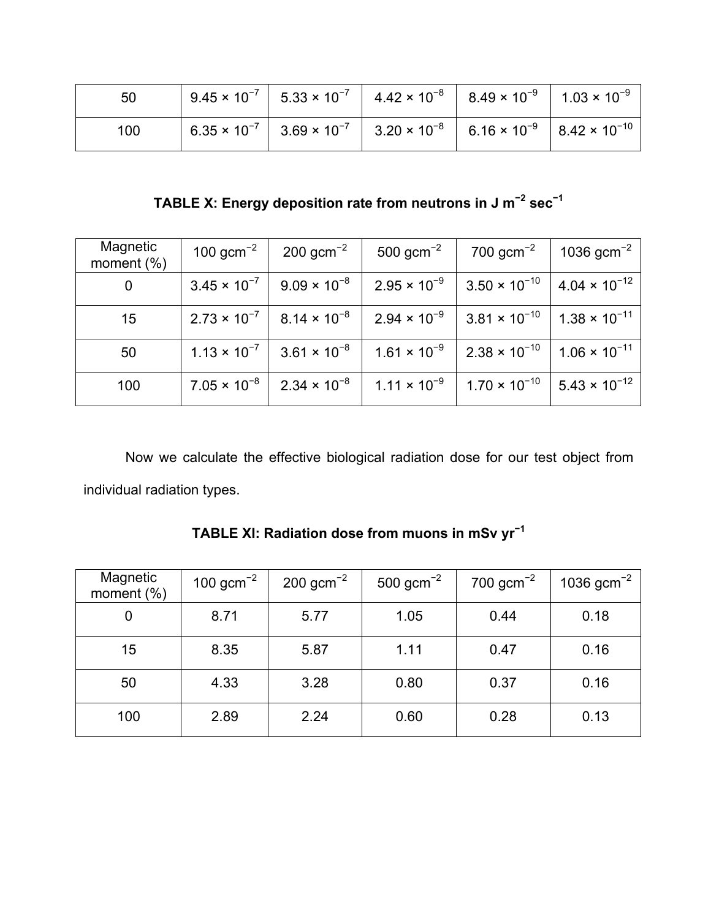| 50  |  | $9.45 \times 10^{-7}$   $5.33 \times 10^{-7}$   $4.42 \times 10^{-8}$   $8.49 \times 10^{-9}$   $1.03 \times 10^{-9}$ |  |
|-----|--|-----------------------------------------------------------------------------------------------------------------------|--|
| 100 |  | $6.35 \times 10^{-7}$ 3.69 $\times 10^{-7}$ 3.20 $\times 10^{-8}$ 6.16 $\times 10^{-9}$ 8.42 $\times 10^{-10}$        |  |

**TABLE X: Energy deposition rate from neutrons in J m<sup>−</sup><sup>2</sup> sec<sup>−</sup><sup>1</sup>**

| Magnetic<br>moment $(\%)$ | 100 gcm <sup>-2</sup> | $200 \text{ gcm}^{-2}$                                 | 500 $gcm^{-2}$ | $700$ gcm <sup>-2</sup>                                                                                                 | 1036 $gcm^{-2}$        |
|---------------------------|-----------------------|--------------------------------------------------------|----------------|-------------------------------------------------------------------------------------------------------------------------|------------------------|
| 0                         |                       | $3.45 \times 10^{-7}$   $9.09 \times 10^{-8}$          |                | $2.95 \times 10^{-9}$   3.50 $\times$ 10 <sup>-10</sup>   4.04 $\times$ 10 <sup>-12</sup>                               |                        |
| 15                        |                       | $2.73 \times 10^{-7}$   8.14 $\times$ 10 <sup>-8</sup> |                | $2.94 \times 10^{-9}$ 3.81 $\times 10^{-10}$ 1.38 $\times 10^{-11}$                                                     |                        |
| 50                        |                       |                                                        |                | $1.13 \times 10^{-7}$   $3.61 \times 10^{-8}$   $1.61 \times 10^{-9}$   $2.38 \times 10^{-10}$   $1.06 \times 10^{-11}$ |                        |
| 100                       |                       | $7.05 \times 10^{-8}$   2.34 $\times 10^{-8}$          |                | $1.11 \times 10^{-9}$   1.70 $\times$ 10 <sup>-10</sup>                                                                 | $5.43 \times 10^{-12}$ |

Now we calculate the effective biological radiation dose for our test object from individual radiation types.

**TABLE XI: Radiation dose from muons in mSv yr<sup>−</sup><sup>1</sup>**

| Magnetic<br>moment $(\%)$ | 100 $gcm^{-2}$ | $200 \text{ gcm}^{-2}$ | $500 \text{ gcm}^{-2}$ | $700 \text{ gcm}^{-2}$ | 1036 $gcm^{-2}$ |
|---------------------------|----------------|------------------------|------------------------|------------------------|-----------------|
| 0                         | 8.71           | 5.77                   | 1.05                   | 0.44                   | 0.18            |
| 15                        | 8.35           | 5.87                   | 1.11                   | 0.47                   | 0.16            |
| 50                        | 4.33           | 3.28                   | 0.80                   | 0.37                   | 0.16            |
| 100                       | 2.89           | 2.24                   | 0.60                   | 0.28                   | 0.13            |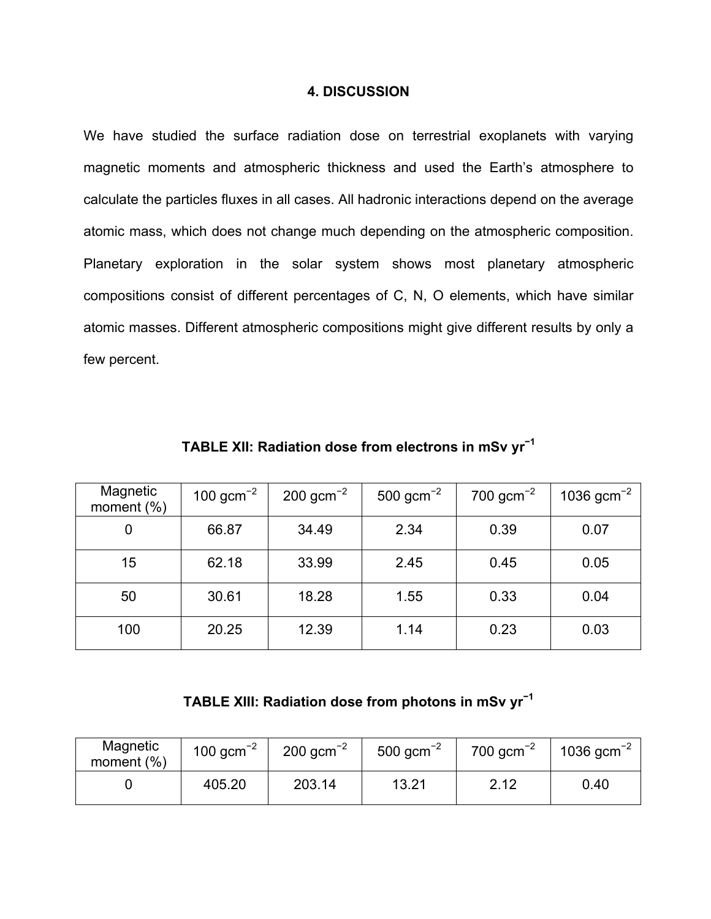#### **4. DISCUSSION**

We have studied the surface radiation dose on terrestrial exoplanets with varying magnetic moments and atmospheric thickness and used the Earth's atmosphere to calculate the particles fluxes in all cases. All hadronic interactions depend on the average atomic mass, which does not change much depending on the atmospheric composition. Planetary exploration in the solar system shows most planetary atmospheric compositions consist of different percentages of C, N, O elements, which have similar atomic masses. Different atmospheric compositions might give different results by only a few percent.

| Magnetic<br>moment $(\%)$ | 100 $gcm^{-2}$ | $200 \text{ gcm}^{-2}$ | 500 gcm <sup>-2</sup> | 700 $gcm^{-2}$ | 1036 $gcm^{-2}$ |
|---------------------------|----------------|------------------------|-----------------------|----------------|-----------------|
| 0                         | 66.87          | 34.49                  | 2.34                  | 0.39           | 0.07            |
| 15                        | 62.18          | 33.99                  | 2.45                  | 0.45           | 0.05            |
| 50                        | 30.61          | 18.28                  | 1.55                  | 0.33           | 0.04            |
| 100                       | 20.25          | 12.39                  | 1.14                  | 0.23           | 0.03            |

**TABLE XII: Radiation dose from electrons in mSv yr<sup>−</sup><sup>1</sup>**

## **TABLE XIII: Radiation dose from photons in mSv yr<sup>−</sup><sup>1</sup>**

| Magnetic<br>moment $(\%)$ | 100 $gcm^{-2}$ | $200 \text{ gcm}^{-2}$ | 500 $gcm^{-2}$ | 700 $gcm^{-2}$ | 1036 $gcm^{-2}$ |
|---------------------------|----------------|------------------------|----------------|----------------|-----------------|
|                           | 405.20         | 203.14                 | 13.21          | 2.12           | 0.40            |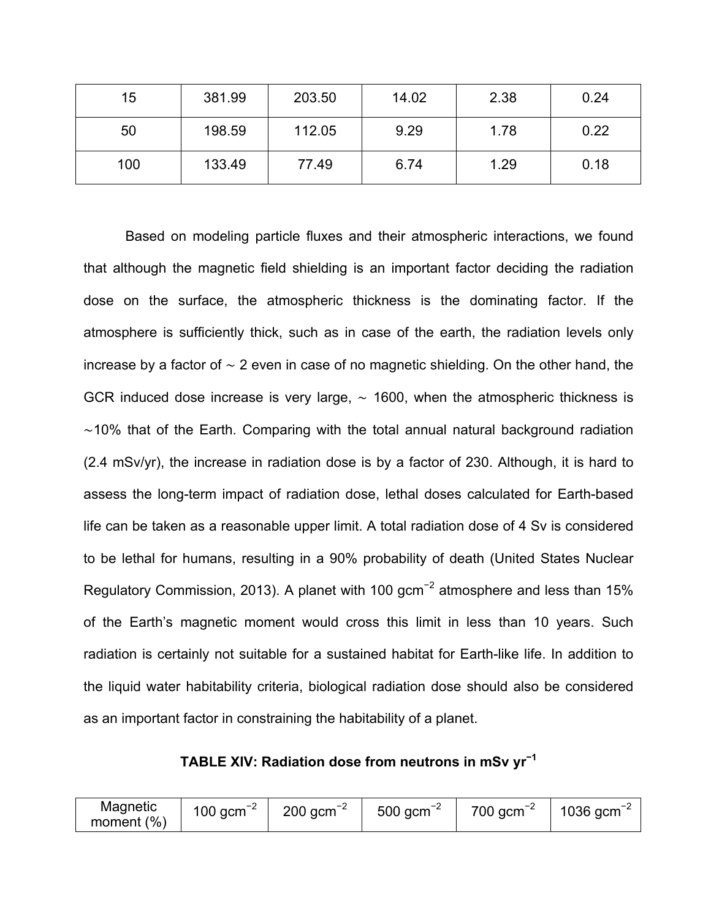| 15  | 381.99 | 203.50 | 14.02 | 2.38 | 0.24 |
|-----|--------|--------|-------|------|------|
| 50  | 198.59 | 112.05 | 9.29  | 1.78 | 0.22 |
| 100 | 133.49 | 77.49  | 6.74  | 1.29 | 0.18 |

Based on modeling particle fluxes and their atmospheric interactions, we found that although the magnetic field shielding is an important factor deciding the radiation dose on the surface, the atmospheric thickness is the dominating factor. If the atmosphere is sufficiently thick, such as in case of the earth, the radiation levels only increase by a factor of ∼ 2 even in case of no magnetic shielding. On the other hand, the GCR induced dose increase is very large,  $\sim$  1600, when the atmospheric thickness is ∼10% that of the Earth. Comparing with the total annual natural background radiation (2.4 mSv/yr), the increase in radiation dose is by a factor of 230. Although, it is hard to assess the long-term impact of radiation dose, lethal doses calculated for Earth-based life can be taken as a reasonable upper limit. A total radiation dose of 4 Sv is considered to be lethal for humans, resulting in a 90% probability of death (United States Nuclear Regulatory Commission, 2013). A planet with 100 gcm<sup>-2</sup> atmosphere and less than 15% of the Earth's magnetic moment would cross this limit in less than 10 years. Such radiation is certainly not suitable for a sustained habitat for Earth-like life. In addition to the liquid water habitability criteria, biological radiation dose should also be considered as an important factor in constraining the habitability of a planet.

**TABLE XIV: Radiation dose from neutrons in mSv yr<sup>−</sup><sup>1</sup>**

| Magnetic      | $\overline{\phantom{a}}$<br>100 $\text{qcm}^{-2}$ | $200$ gcm <sup>-2</sup> | $500 \text{ gcm}^{-2}$ | 700 gcm | $1036$ gcm <sup>-</sup> |
|---------------|---------------------------------------------------|-------------------------|------------------------|---------|-------------------------|
| moment $(\%)$ |                                                   |                         |                        |         |                         |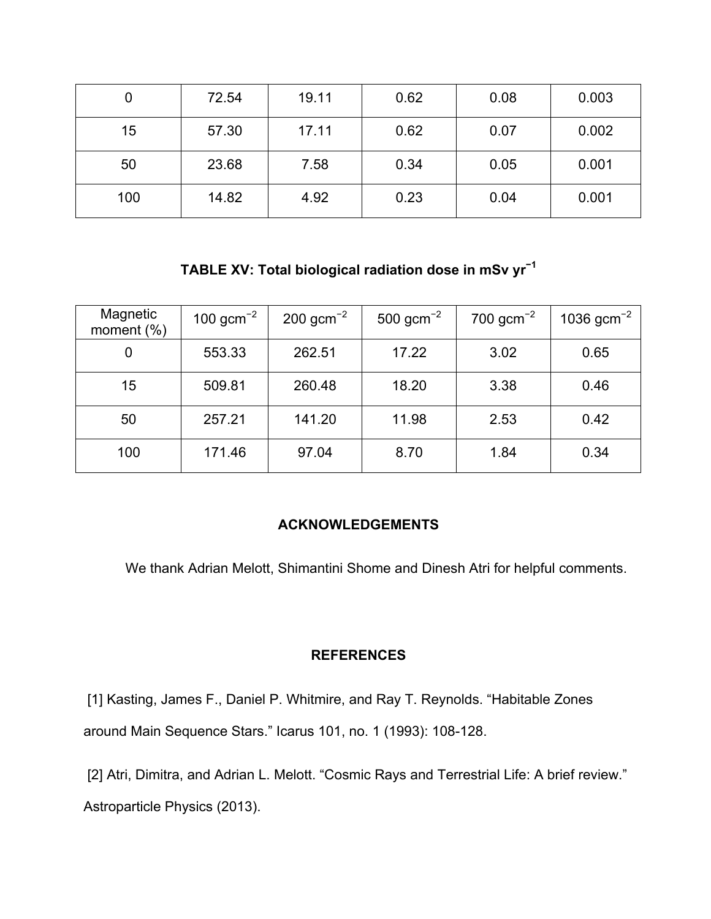| 0   | 72.54 | 19.11 | 0.62 | 0.08 | 0.003 |
|-----|-------|-------|------|------|-------|
| 15  | 57.30 | 17.11 | 0.62 | 0.07 | 0.002 |
| 50  | 23.68 | 7.58  | 0.34 | 0.05 | 0.001 |
| 100 | 14.82 | 4.92  | 0.23 | 0.04 | 0.001 |

**TABLE XV: Total biological radiation dose in mSv yr<sup>−</sup><sup>1</sup>**

| Magnetic<br>moment $(\%)$ | 100 $gcm^{-2}$ | $200 \text{ gcm}^{-2}$ | 500 $gcm^{-2}$ | 700 $gcm^{-2}$ | 1036 $gcm^{-2}$ |
|---------------------------|----------------|------------------------|----------------|----------------|-----------------|
| 0                         | 553.33         | 262.51                 | 17.22          | 3.02           | 0.65            |
| 15                        | 509.81         | 260.48                 | 18.20          | 3.38           | 0.46            |
| 50                        | 257.21         | 141.20                 | 11.98          | 2.53           | 0.42            |
| 100                       | 171.46         | 97.04                  | 8.70           | 1.84           | 0.34            |

### **ACKNOWLEDGEMENTS**

We thank Adrian Melott, Shimantini Shome and Dinesh Atri for helpful comments.

#### **REFERENCES**

[1] Kasting, James F., Daniel P. Whitmire, and Ray T. Reynolds. "Habitable Zones around Main Sequence Stars." Icarus 101, no. 1 (1993): 108-128.

[2] Atri, Dimitra, and Adrian L. Melott. "Cosmic Rays and Terrestrial Life: A brief review." Astroparticle Physics (2013).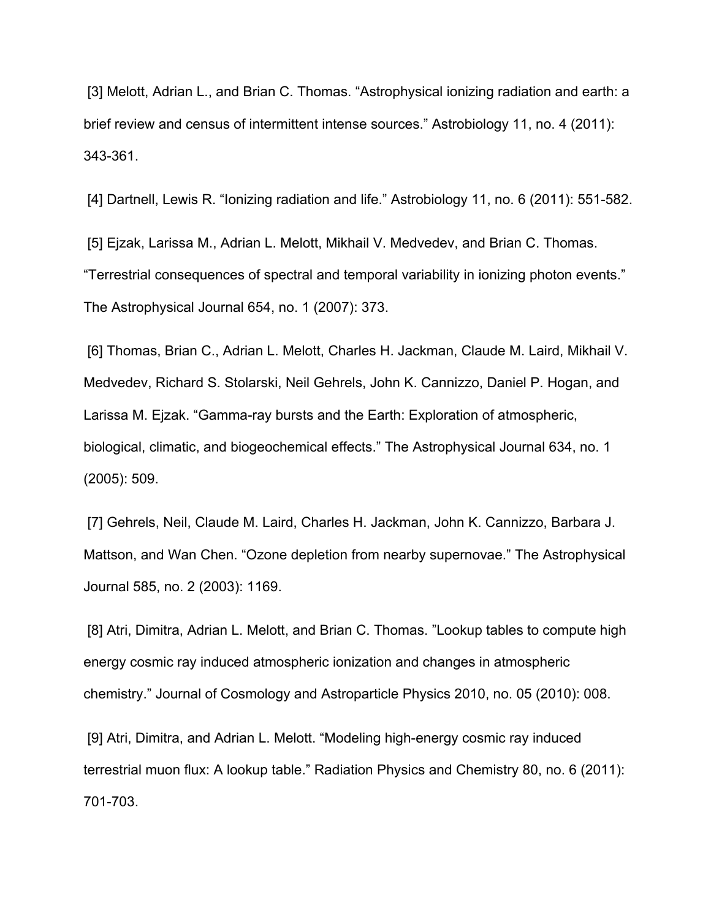[3] Melott, Adrian L., and Brian C. Thomas. "Astrophysical ionizing radiation and earth: a brief review and census of intermittent intense sources." Astrobiology 11, no. 4 (2011): 343-361.

[4] Dartnell, Lewis R. "Ionizing radiation and life." Astrobiology 11, no. 6 (2011): 551-582.

[5] Ejzak, Larissa M., Adrian L. Melott, Mikhail V. Medvedev, and Brian C. Thomas. "Terrestrial consequences of spectral and temporal variability in ionizing photon events." The Astrophysical Journal 654, no. 1 (2007): 373.

[6] Thomas, Brian C., Adrian L. Melott, Charles H. Jackman, Claude M. Laird, Mikhail V. Medvedev, Richard S. Stolarski, Neil Gehrels, John K. Cannizzo, Daniel P. Hogan, and Larissa M. Ejzak. "Gamma-ray bursts and the Earth: Exploration of atmospheric, biological, climatic, and biogeochemical effects." The Astrophysical Journal 634, no. 1 (2005): 509.

[7] Gehrels, Neil, Claude M. Laird, Charles H. Jackman, John K. Cannizzo, Barbara J. Mattson, and Wan Chen. "Ozone depletion from nearby supernovae." The Astrophysical Journal 585, no. 2 (2003): 1169.

[8] Atri, Dimitra, Adrian L. Melott, and Brian C. Thomas. "Lookup tables to compute high energy cosmic ray induced atmospheric ionization and changes in atmospheric chemistry." Journal of Cosmology and Astroparticle Physics 2010, no. 05 (2010): 008.

[9] Atri, Dimitra, and Adrian L. Melott. "Modeling high-energy cosmic ray induced terrestrial muon flux: A lookup table." Radiation Physics and Chemistry 80, no. 6 (2011): 701-703.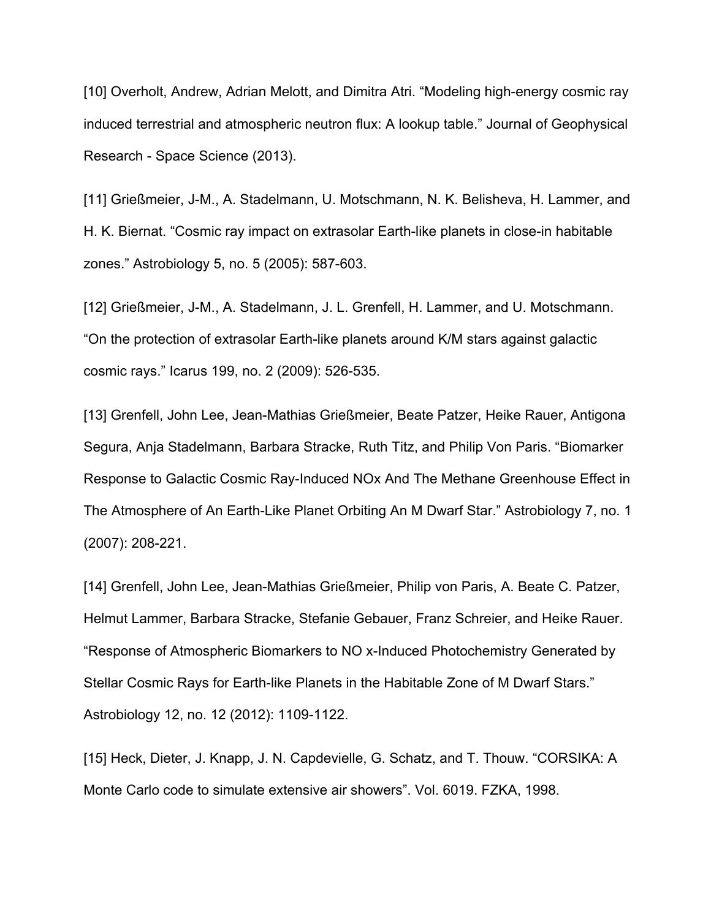[10] Overholt, Andrew, Adrian Melott, and Dimitra Atri. "Modeling high-energy cosmic ray induced terrestrial and atmospheric neutron flux: A lookup table." Journal of Geophysical Research - Space Science (2013).

[11] Grießmeier, J-M., A. Stadelmann, U. Motschmann, N. K. Belisheva, H. Lammer, and H. K. Biernat. "Cosmic ray impact on extrasolar Earth-like planets in close-in habitable zones." Astrobiology 5, no. 5 (2005): 587-603.

[12] Grießmeier, J-M., A. Stadelmann, J. L. Grenfell, H. Lammer, and U. Motschmann. "On the protection of extrasolar Earth-like planets around K/M stars against galactic cosmic rays." Icarus 199, no. 2 (2009): 526-535.

[13] Grenfell, John Lee, Jean-Mathias Grießmeier, Beate Patzer, Heike Rauer, Antigona Segura, Anja Stadelmann, Barbara Stracke, Ruth Titz, and Philip Von Paris. "Biomarker Response to Galactic Cosmic Ray-Induced NOx And The Methane Greenhouse Effect in The Atmosphere of An Earth-Like Planet Orbiting An M Dwarf Star." Astrobiology 7, no. 1 (2007): 208-221.

[14] Grenfell, John Lee, Jean-Mathias Grießmeier, Philip von Paris, A. Beate C. Patzer, Helmut Lammer, Barbara Stracke, Stefanie Gebauer, Franz Schreier, and Heike Rauer. "Response of Atmospheric Biomarkers to NO x-Induced Photochemistry Generated by Stellar Cosmic Rays for Earth-like Planets in the Habitable Zone of M Dwarf Stars." Astrobiology 12, no. 12 (2012): 1109-1122.

[15] Heck, Dieter, J. Knapp, J. N. Capdevielle, G. Schatz, and T. Thouw. "CORSIKA: A Monte Carlo code to simulate extensive air showers". Vol. 6019. FZKA, 1998.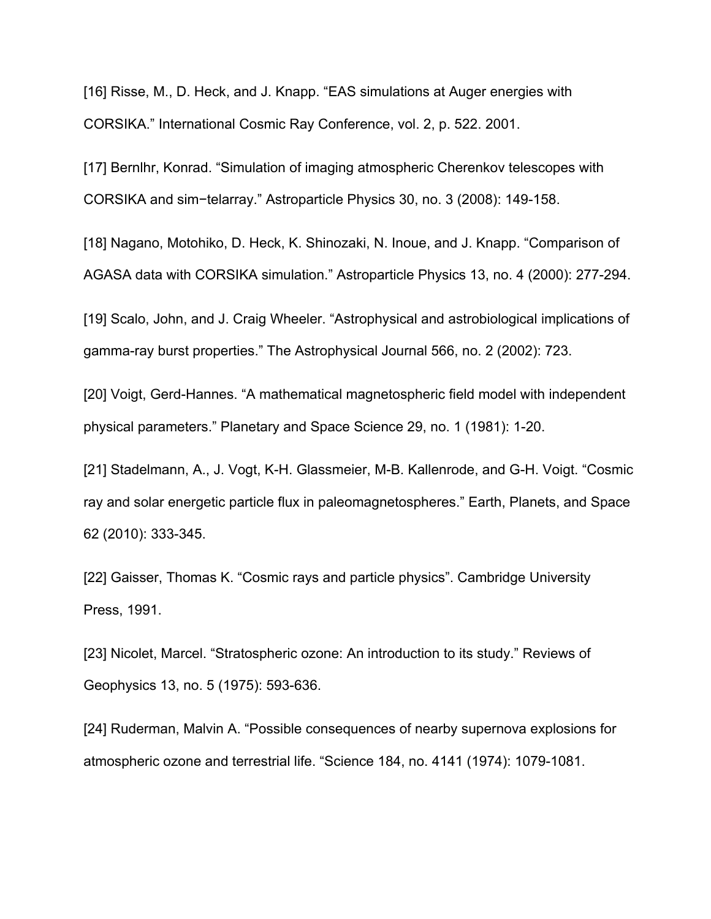[16] Risse, M., D. Heck, and J. Knapp. "EAS simulations at Auger energies with CORSIKA." International Cosmic Ray Conference, vol. 2, p. 522. 2001.

[17] Bernlhr, Konrad. "Simulation of imaging atmospheric Cherenkov telescopes with CORSIKA and sim−telarray." Astroparticle Physics 30, no. 3 (2008): 149-158.

[18] Nagano, Motohiko, D. Heck, K. Shinozaki, N. Inoue, and J. Knapp. "Comparison of AGASA data with CORSIKA simulation." Astroparticle Physics 13, no. 4 (2000): 277-294.

[19] Scalo, John, and J. Craig Wheeler. "Astrophysical and astrobiological implications of gamma-ray burst properties." The Astrophysical Journal 566, no. 2 (2002): 723.

[20] Voigt, Gerd-Hannes. "A mathematical magnetospheric field model with independent physical parameters." Planetary and Space Science 29, no. 1 (1981): 1-20.

[21] Stadelmann, A., J. Vogt, K-H. Glassmeier, M-B. Kallenrode, and G-H. Voigt. "Cosmic ray and solar energetic particle flux in paleomagnetospheres." Earth, Planets, and Space 62 (2010): 333-345.

[22] Gaisser, Thomas K. "Cosmic rays and particle physics". Cambridge University Press, 1991.

[23] Nicolet, Marcel. "Stratospheric ozone: An introduction to its study." Reviews of Geophysics 13, no. 5 (1975): 593-636.

[24] Ruderman, Malvin A. "Possible consequences of nearby supernova explosions for atmospheric ozone and terrestrial life. "Science 184, no. 4141 (1974): 1079-1081.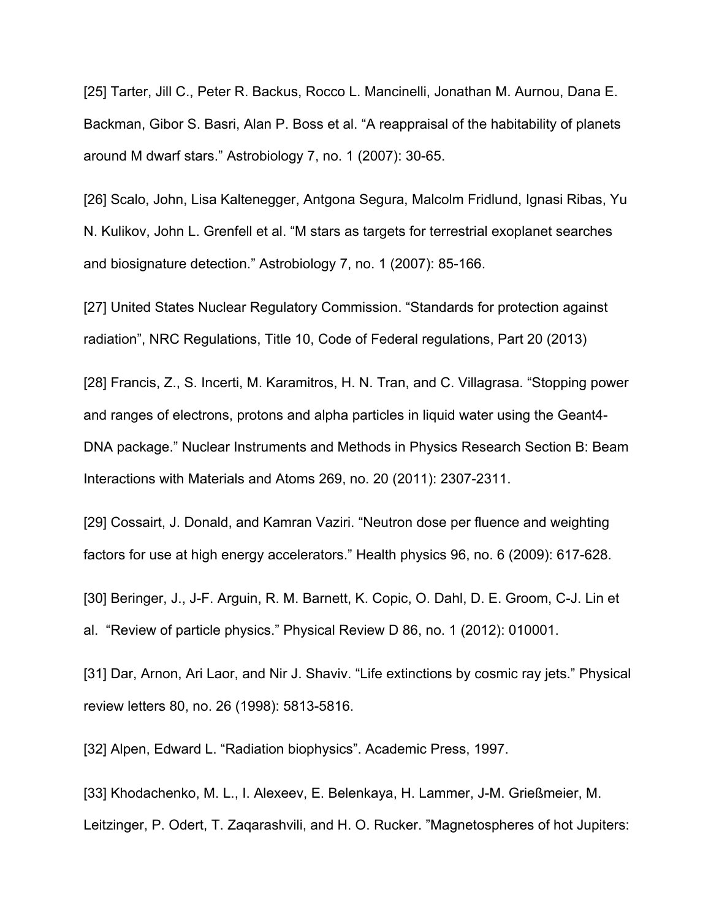[25] Tarter, Jill C., Peter R. Backus, Rocco L. Mancinelli, Jonathan M. Aurnou, Dana E. Backman, Gibor S. Basri, Alan P. Boss et al. "A reappraisal of the habitability of planets around M dwarf stars." Astrobiology 7, no. 1 (2007): 30-65.

[26] Scalo, John, Lisa Kaltenegger, Antgona Segura, Malcolm Fridlund, Ignasi Ribas, Yu N. Kulikov, John L. Grenfell et al. "M stars as targets for terrestrial exoplanet searches and biosignature detection." Astrobiology 7, no. 1 (2007): 85-166.

[27] United States Nuclear Regulatory Commission. "Standards for protection against radiation", NRC Regulations, Title 10, Code of Federal regulations, Part 20 (2013)

[28] Francis, Z., S. Incerti, M. Karamitros, H. N. Tran, and C. Villagrasa. "Stopping power and ranges of electrons, protons and alpha particles in liquid water using the Geant4- DNA package." Nuclear Instruments and Methods in Physics Research Section B: Beam Interactions with Materials and Atoms 269, no. 20 (2011): 2307-2311.

[29] Cossairt, J. Donald, and Kamran Vaziri. "Neutron dose per fluence and weighting factors for use at high energy accelerators." Health physics 96, no. 6 (2009): 617-628.

[30] Beringer, J., J-F. Arguin, R. M. Barnett, K. Copic, O. Dahl, D. E. Groom, C-J. Lin et al. "Review of particle physics." Physical Review D 86, no. 1 (2012): 010001.

[31] Dar, Arnon, Ari Laor, and Nir J. Shaviv. "Life extinctions by cosmic ray jets." Physical review letters 80, no. 26 (1998): 5813-5816.

[32] Alpen, Edward L. "Radiation biophysics". Academic Press, 1997.

[33] Khodachenko, M. L., I. Alexeev, E. Belenkaya, H. Lammer, J-M. Grießmeier, M. Leitzinger, P. Odert, T. Zaqarashvili, and H. O. Rucker. "Magnetospheres of hot Jupiters: